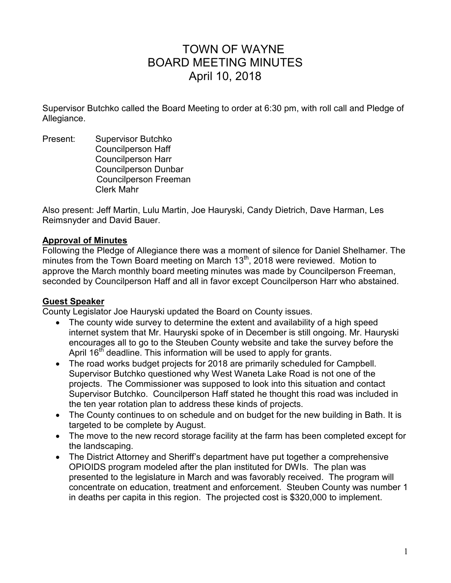# TOWN OF WAYNE BOARD MEETING MINUTES April 10, 2018

Supervisor Butchko called the Board Meeting to order at 6:30 pm, with roll call and Pledge of Allegiance.

Present: Supervisor Butchko Councilperson Haff Councilperson Harr Councilperson Dunbar Councilperson Freeman Clerk Mahr

Also present: Jeff Martin, Lulu Martin, Joe Hauryski, Candy Dietrich, Dave Harman, Les Reimsnyder and David Bauer.

### **Approval of Minutes**

Following the Pledge of Allegiance there was a moment of silence for Daniel Shelhamer. The minutes from the Town Board meeting on March 13<sup>th</sup>, 2018 were reviewed. Motion to approve the March monthly board meeting minutes was made by Councilperson Freeman, seconded by Councilperson Haff and all in favor except Councilperson Harr who abstained.

#### **Guest Speaker**

County Legislator Joe Hauryski updated the Board on County issues.

- The county wide survey to determine the extent and availability of a high speed internet system that Mr. Hauryski spoke of in December is still ongoing. Mr. Hauryski encourages all to go to the Steuben County website and take the survey before the April  $16<sup>th</sup>$  deadline. This information will be used to apply for grants.
- The road works budget projects for 2018 are primarily scheduled for Campbell. Supervisor Butchko questioned why West Waneta Lake Road is not one of the projects. The Commissioner was supposed to look into this situation and contact Supervisor Butchko. Councilperson Haff stated he thought this road was included in the ten year rotation plan to address these kinds of projects.
- The County continues to on schedule and on budget for the new building in Bath. It is targeted to be complete by August.
- The move to the new record storage facility at the farm has been completed except for the landscaping.
- The District Attorney and Sheriff's department have put together a comprehensive OPIOIDS program modeled after the plan instituted for DWIs. The plan was presented to the legislature in March and was favorably received. The program will concentrate on education, treatment and enforcement. Steuben County was number 1 in deaths per capita in this region. The projected cost is \$320,000 to implement.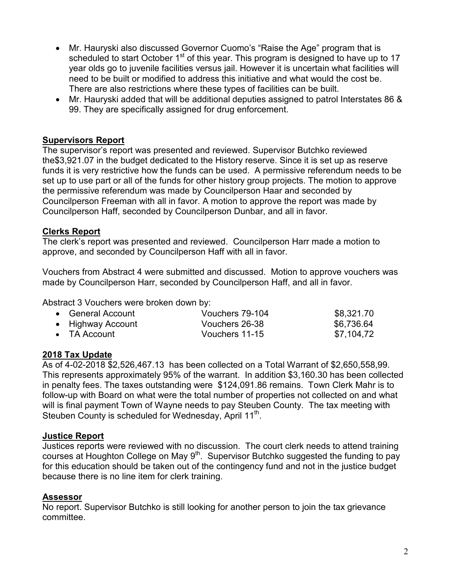- Mr. Hauryski also discussed Governor Cuomo's "Raise the Age" program that is scheduled to start October  $1<sup>st</sup>$  of this year. This program is designed to have up to 17 year olds go to juvenile facilities versus jail. However it is uncertain what facilities will need to be built or modified to address this initiative and what would the cost be. There are also restrictions where these types of facilities can be built.
- Mr. Hauryski added that will be additional deputies assigned to patrol Interstates 86 & 99. They are specifically assigned for drug enforcement.

## **Supervisors Report**

The supervisor's report was presented and reviewed. Supervisor Butchko reviewed the\$3,921.07 in the budget dedicated to the History reserve. Since it is set up as reserve funds it is very restrictive how the funds can be used. A permissive referendum needs to be set up to use part or all of the funds for other history group projects. The motion to approve the permissive referendum was made by Councilperson Haar and seconded by Councilperson Freeman with all in favor. A motion to approve the report was made by Councilperson Haff, seconded by Councilperson Dunbar, and all in favor.

### **Clerks Report**

The clerk's report was presented and reviewed. Councilperson Harr made a motion to approve, and seconded by Councilperson Haff with all in favor.

Vouchers from Abstract 4 were submitted and discussed. Motion to approve vouchers was made by Councilperson Harr, seconded by Councilperson Haff, and all in favor.

Abstract 3 Vouchers were broken down by:

| • General Account | Vouchers 79-104 | \$8,321.70 |
|-------------------|-----------------|------------|
| • Highway Account | Vouchers 26-38  | \$6,736.64 |
| • TA Account      | Vouchers 11-15  | \$7.104.72 |

## **2018 Tax Update**

As of 4-02-2018 \$2,526,467.13 has been collected on a Total Warrant of \$2,650,558,99. This represents approximately 95% of the warrant. In addition \$3,160.30 has been collected in penalty fees. The taxes outstanding were \$124,091.86 remains. Town Clerk Mahr is to follow-up with Board on what were the total number of properties not collected on and what will is final payment Town of Wayne needs to pay Steuben County. The tax meeting with Steuben County is scheduled for Wednesday, April 11<sup>th</sup>.

#### **Justice Report**

Justices reports were reviewed with no discussion. The court clerk needs to attend training courses at Houghton College on May 9<sup>th</sup>. Supervisor Butchko suggested the funding to pay for this education should be taken out of the contingency fund and not in the justice budget because there is no line item for clerk training.

#### **Assessor**

No report. Supervisor Butchko is still looking for another person to join the tax grievance committee.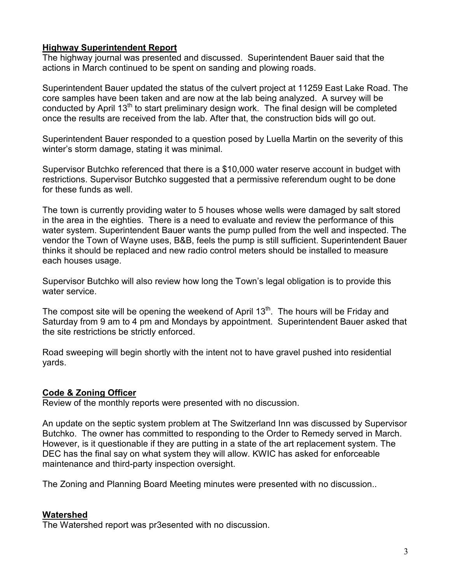## **Highway Superintendent Report**

The highway journal was presented and discussed. Superintendent Bauer said that the actions in March continued to be spent on sanding and plowing roads.

Superintendent Bauer updated the status of the culvert project at 11259 East Lake Road. The core samples have been taken and are now at the lab being analyzed. A survey will be conducted by April 13<sup>th</sup> to start preliminary design work. The final design will be completed once the results are received from the lab. After that, the construction bids will go out.

Superintendent Bauer responded to a question posed by Luella Martin on the severity of this winter's storm damage, stating it was minimal.

Supervisor Butchko referenced that there is a \$10,000 water reserve account in budget with restrictions. Supervisor Butchko suggested that a permissive referendum ought to be done for these funds as well.

The town is currently providing water to 5 houses whose wells were damaged by salt stored in the area in the eighties. There is a need to evaluate and review the performance of this water system. Superintendent Bauer wants the pump pulled from the well and inspected. The vendor the Town of Wayne uses, B&B, feels the pump is still sufficient. Superintendent Bauer thinks it should be replaced and new radio control meters should be installed to measure each houses usage.

Supervisor Butchko will also review how long the Town's legal obligation is to provide this water service.

The compost site will be opening the weekend of April  $13<sup>th</sup>$ . The hours will be Friday and Saturday from 9 am to 4 pm and Mondays by appointment. Superintendent Bauer asked that the site restrictions be strictly enforced.

Road sweeping will begin shortly with the intent not to have gravel pushed into residential yards.

## **Code & Zoning Officer**

Review of the monthly reports were presented with no discussion.

An update on the septic system problem at The Switzerland Inn was discussed by Supervisor Butchko. The owner has committed to responding to the Order to Remedy served in March. However, is it questionable if they are putting in a state of the art replacement system. The DEC has the final say on what system they will allow. KWIC has asked for enforceable maintenance and third-party inspection oversight.

The Zoning and Planning Board Meeting minutes were presented with no discussion..

## **Watershed**

The Watershed report was pr3esented with no discussion.